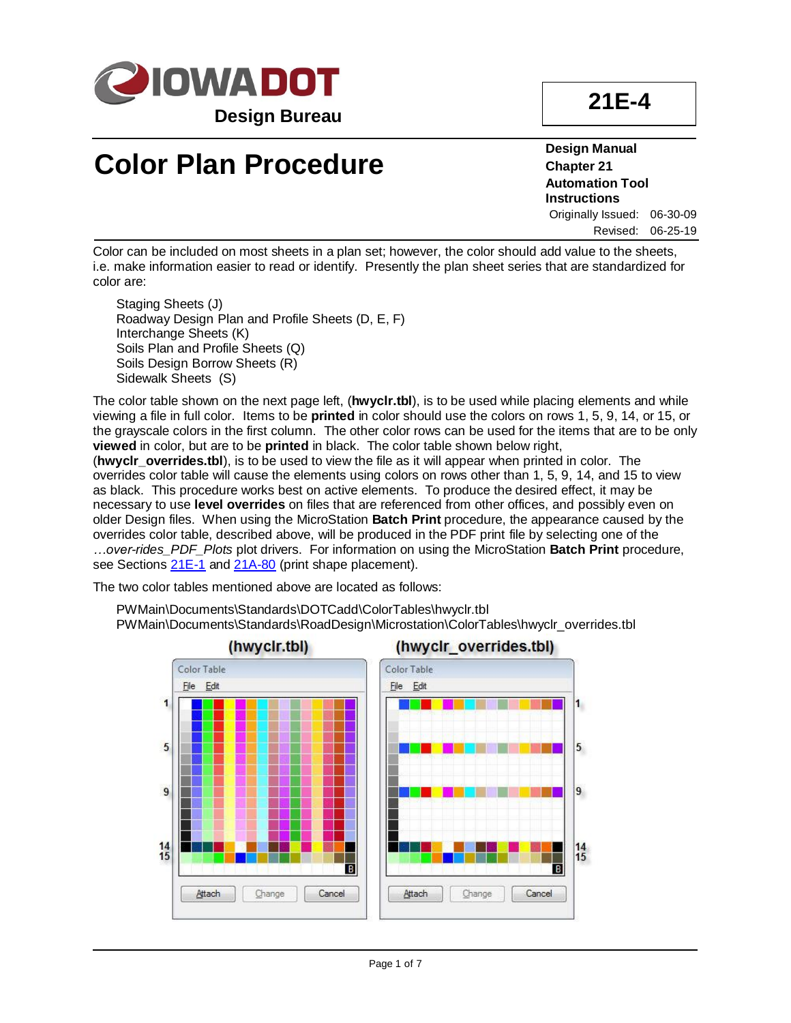

# **21E-4**

# **Color Plan Procedure**

**Design Manual Chapter 21 Automation Tool Instructions** Originally Issued: 06-30-09 Revised: 06-25-19

Color can be included on most sheets in a plan set; however, the color should add value to the sheets, i.e. make information easier to read or identify. Presently the plan sheet series that are standardized for color are:

Staging Sheets (J) Roadway Design Plan and Profile Sheets (D, E, F) Interchange Sheets (K) Soils Plan and Profile Sheets (Q) Soils Design Borrow Sheets (R) Sidewalk Sheets (S)

The color table shown on the next page left, (**hwyclr.tbl**), is to be used while placing elements and while viewing a file in full color. Items to be **printed** in color should use the colors on rows 1, 5, 9, 14, or 15, or the grayscale colors in the first column. The other color rows can be used for the items that are to be only **viewed** in color, but are to be **printed** in black. The color table shown below right, (**hwyclr\_overrides.tbl**), is to be used to view the file as it will appear when printed in color. The

overrides color table will cause the elements using colors on rows other than 1, 5, 9, 14, and 15 to view as black. This procedure works best on active elements. To produce the desired effect, it may be necessary to use **level overrides** on files that are referenced from other offices, and possibly even on older Design files. When using the MicroStation **Batch Print** procedure, the appearance caused by the overrides color table, described above, will be produced in the PDF print file by selecting one of the *…over-rides\_PDF\_Plots* plot drivers. For information on using the MicroStation **Batch Print** procedure, see Sections [21E-1](21E-01.pdf) and [21A-80](21A-80.pdf) (print shape placement).

The two color tables mentioned above are located as follows:

PWMain\Documents\Standards\DOTCadd\ColorTables\hwyclr.tbl PWMain\Documents\Standards\RoadDesign\Microstation\ColorTables\hwyclr\_overrides.tbl

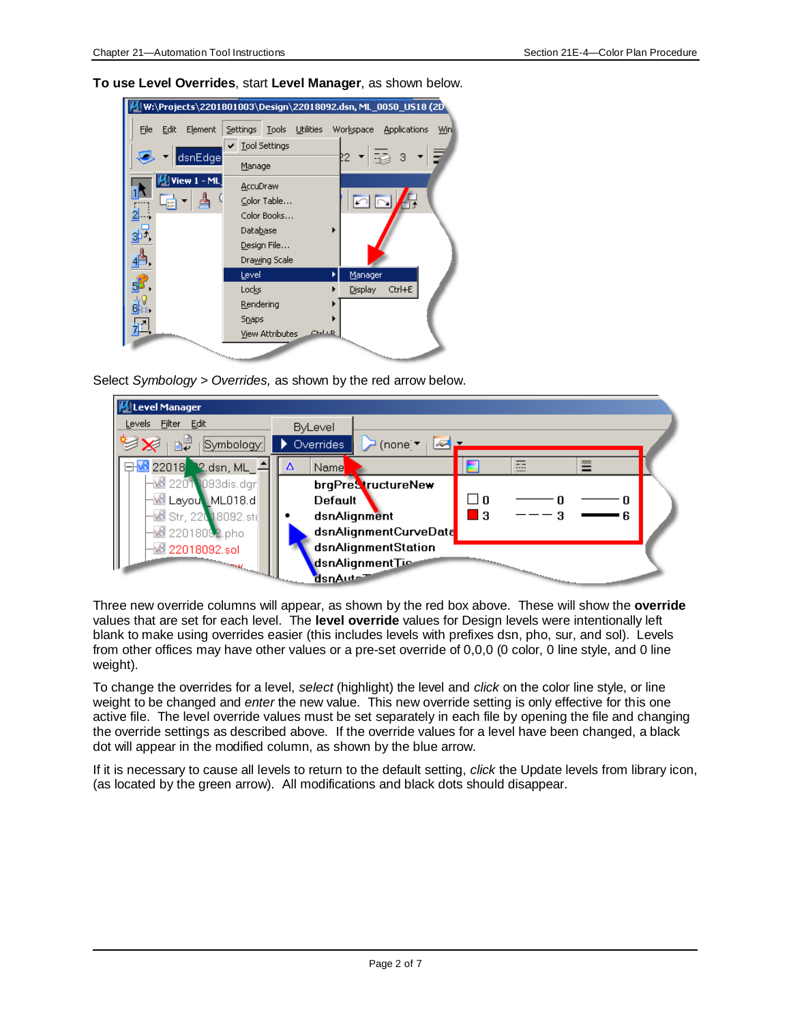W:\Projects\2201801003\Design\22018092.dsn, ML\_0050\_US18 (2D Edit Element Settings Tools Utilities Workspace Applications Win ↓ Tool Settings -3 dsnEdge -중 Manage **View AccuDraw** Color Table...  $\sqrt{ }$ Color Books... Database  $3<sup>7</sup>$ Design File... Drawing Scale Level K Manager Locks Display  $Ctrl + E$ Rendering 63:  $Snaps$ ШA View Attributes  $C<sub>rel</sub>$  i.g

**To use Level Overrides**, start **Level Manager**, as shown below.

Select *Symbology > Overrides,* as shown by the red arrow below.



Three new override columns will appear, as shown by the red box above. These will show the **override** values that are set for each level. The **level override** values for Design levels were intentionally left blank to make using overrides easier (this includes levels with prefixes dsn, pho, sur, and sol). Levels from other offices may have other values or a pre-set override of 0,0,0 (0 color, 0 line style, and 0 line weight).

To change the overrides for a level, *select* (highlight) the level and *click* on the color line style, or line weight to be changed and *enter* the new value. This new override setting is only effective for this one active file. The level override values must be set separately in each file by opening the file and changing the override settings as described above. If the override values for a level have been changed, a black dot will appear in the modified column, as shown by the blue arrow.

If it is necessary to cause all levels to return to the default setting, *click* the Update levels from library icon, (as located by the green arrow). All modifications and black dots should disappear.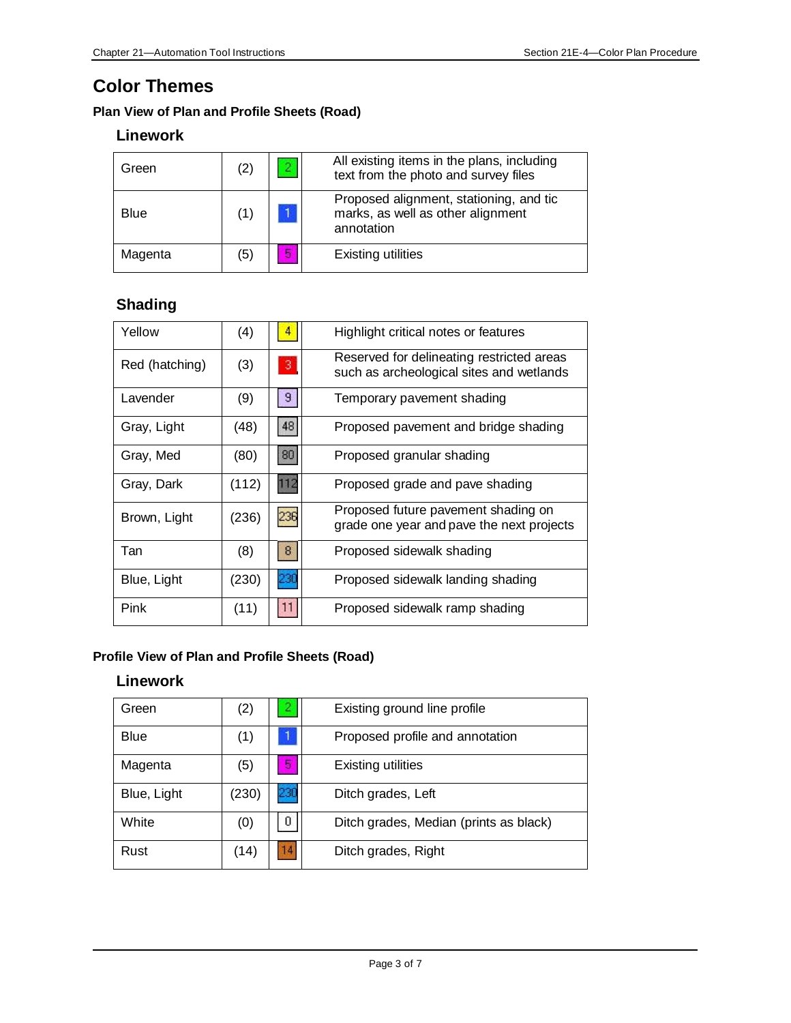# **Color Themes**

### **Plan View of Plan and Profile Sheets (Road)**

### **Linework**

| Green   | (2) |   | All existing items in the plans, including<br>text from the photo and survey files         |
|---------|-----|---|--------------------------------------------------------------------------------------------|
| Blue    | (1) |   | Proposed alignment, stationing, and tic<br>marks, as well as other alignment<br>annotation |
| Magenta | (5) | 5 | <b>Existing utilities</b>                                                                  |

### **Shading**

| Yellow         | (4)   |                | Highlight critical notes or features                                                  |
|----------------|-------|----------------|---------------------------------------------------------------------------------------|
| Red (hatching) | (3)   | 3              | Reserved for delineating restricted areas<br>such as archeological sites and wetlands |
| Lavender       | (9)   | $\overline{9}$ | Temporary pavement shading                                                            |
| Gray, Light    | (48)  | 48             | Proposed pavement and bridge shading                                                  |
| Gray, Med      | (80)  | 80             | Proposed granular shading                                                             |
| Gray, Dark     | (112) | 112            | Proposed grade and pave shading                                                       |
| Brown, Light   | (236) | 236            | Proposed future pavement shading on<br>grade one year and pave the next projects      |
| Tan            | (8)   | 8 <sup>°</sup> | Proposed sidewalk shading                                                             |
| Blue, Light    | (230) | 230            | Proposed sidewalk landing shading                                                     |
| Pink           | (11)  | 11             | Proposed sidewalk ramp shading                                                        |

#### **Profile View of Plan and Profile Sheets (Road)**

#### **Linework**

| Green       | (2)   |     | Existing ground line profile           |
|-------------|-------|-----|----------------------------------------|
| <b>Blue</b> | (1)   |     | Proposed profile and annotation        |
| Magenta     | (5)   | 5   | Existing utilities                     |
| Blue, Light | (230) | 230 | Ditch grades, Left                     |
| White       | (0)   | 0.  | Ditch grades, Median (prints as black) |
| Rust        | (14)  | 14  | Ditch grades, Right                    |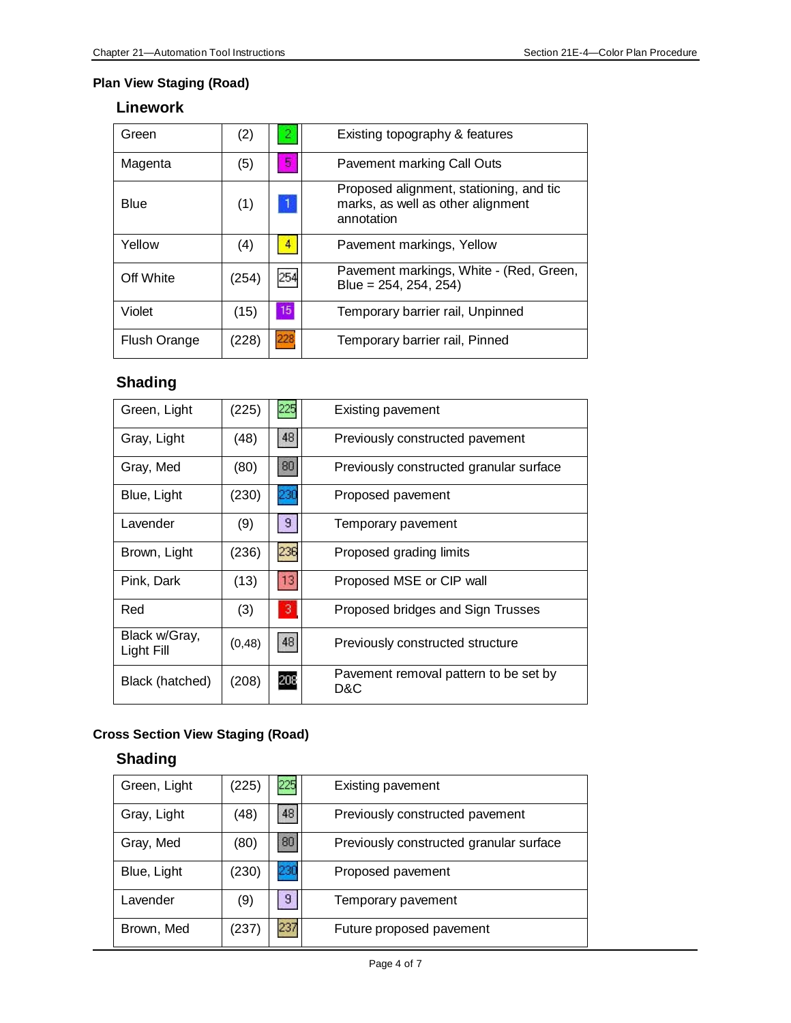#### **Plan View Staging (Road)**

# **Linework**

| Green        | (2)   | -2  | Existing topography & features                                                             |
|--------------|-------|-----|--------------------------------------------------------------------------------------------|
| Magenta      | (5)   | 5   | Pavement marking Call Outs                                                                 |
| Blue         | (1)   |     | Proposed alignment, stationing, and tic<br>marks, as well as other alignment<br>annotation |
| Yellow       | (4)   | 4   | Pavement markings, Yellow                                                                  |
| Off White    | (254) | 254 | Pavement markings, White - (Red, Green,<br>Blue = 254, 254, 254)                           |
| Violet       | (15)  | 15  | Temporary barrier rail, Unpinned                                                           |
| Flush Orange | (228) | 228 | Temporary barrier rail, Pinned                                                             |

# **Shading**

| Green, Light                | (225)   | 225             | <b>Existing pavement</b>                     |
|-----------------------------|---------|-----------------|----------------------------------------------|
| Gray, Light                 | (48)    | 48              | Previously constructed pavement              |
| Gray, Med                   | (80)    | 80 <sup>°</sup> | Previously constructed granular surface      |
| Blue, Light                 | (230)   | 230             | Proposed pavement                            |
| Lavender                    | (9)     | $\overline{9}$  | Temporary pavement                           |
| Brown, Light                | (236)   | 236             | Proposed grading limits                      |
| Pink, Dark                  | (13)    | 13              | Proposed MSE or CIP wall                     |
| Red                         | (3)     | 3 <sup>1</sup>  | Proposed bridges and Sign Trusses            |
| Black w/Gray,<br>Light Fill | (0, 48) | 48              | Previously constructed structure             |
| Black (hatched)             | (208)   | 208             | Pavement removal pattern to be set by<br>D&C |

## **Cross Section View Staging (Road)**

# **Shading**

| Green, Light | (225) | 225 | <b>Existing pavement</b>                |
|--------------|-------|-----|-----------------------------------------|
| Gray, Light  | (48)  | 48  | Previously constructed pavement         |
| Gray, Med    | (80)  | 80  | Previously constructed granular surface |
| Blue, Light  | (230) | 230 | Proposed pavement                       |
| Lavender     | (9)   | 9   | Temporary pavement                      |
| Brown, Med   | (237) | 237 | Future proposed pavement                |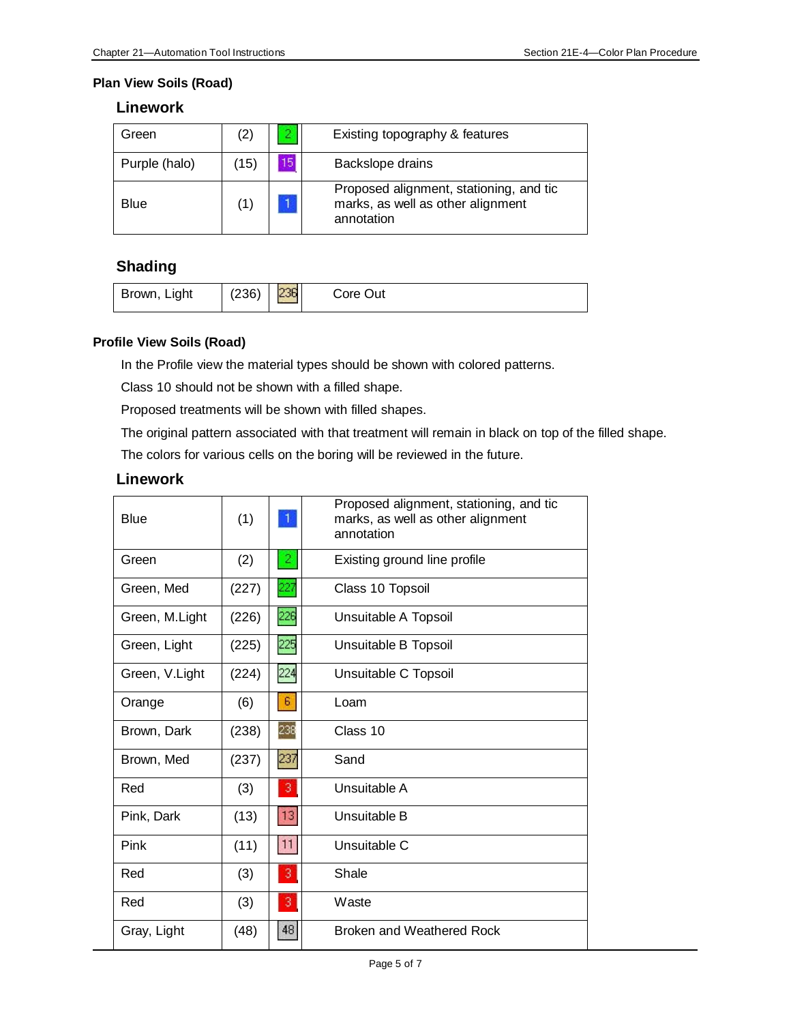#### **Plan View Soils (Road)**

### **Linework**

| Green         | (2)  |    | Existing topography & features                                                             |
|---------------|------|----|--------------------------------------------------------------------------------------------|
| Purple (halo) | (15) | 15 | Backslope drains                                                                           |
| Blue          |      |    | Proposed alignment, stationing, and tic<br>marks, as well as other alignment<br>annotation |

# **Shading**

| Brown, Light | (236) | 236 | Core Out |
|--------------|-------|-----|----------|
|--------------|-------|-----|----------|

#### **Profile View Soils (Road)**

In the Profile view the material types should be shown with colored patterns.

Class 10 should not be shown with a filled shape.

Proposed treatments will be shown with filled shapes.

The original pattern associated with that treatment will remain in black on top of the filled shape.

The colors for various cells on the boring will be reviewed in the future.

| <b>Blue</b>    | (1)   |                | Proposed alignment, stationing, and tic<br>marks, as well as other alignment<br>annotation |
|----------------|-------|----------------|--------------------------------------------------------------------------------------------|
| Green          | (2)   | $\mathbf{2}$   | Existing ground line profile                                                               |
| Green, Med     | (227) | 227            | Class 10 Topsoil                                                                           |
| Green, M.Light | (226) | 226            | Unsuitable A Topsoil                                                                       |
| Green, Light   | (225) | 225            | Unsuitable B Topsoil                                                                       |
| Green, V.Light | (224) | 224            | Unsuitable C Topsoil                                                                       |
| Orange         | (6)   | $\mathsf B$    | Loam                                                                                       |
| Brown, Dark    | (238) | 238            | Class 10                                                                                   |
| Brown, Med     | (237) | 237            | Sand                                                                                       |
| Red            | (3)   | 3              | Unsuitable A                                                                               |
| Pink, Dark     | (13)  | $13$           | Unsuitable B                                                                               |
| Pink           | (11)  | 11             | Unsuitable C                                                                               |
| Red            | (3)   | 3              | Shale                                                                                      |
| Red            | (3)   | 3 <sup>1</sup> | Waste                                                                                      |
| Gray, Light    | (48)  | 48             | Broken and Weathered Rock                                                                  |

#### **Linework**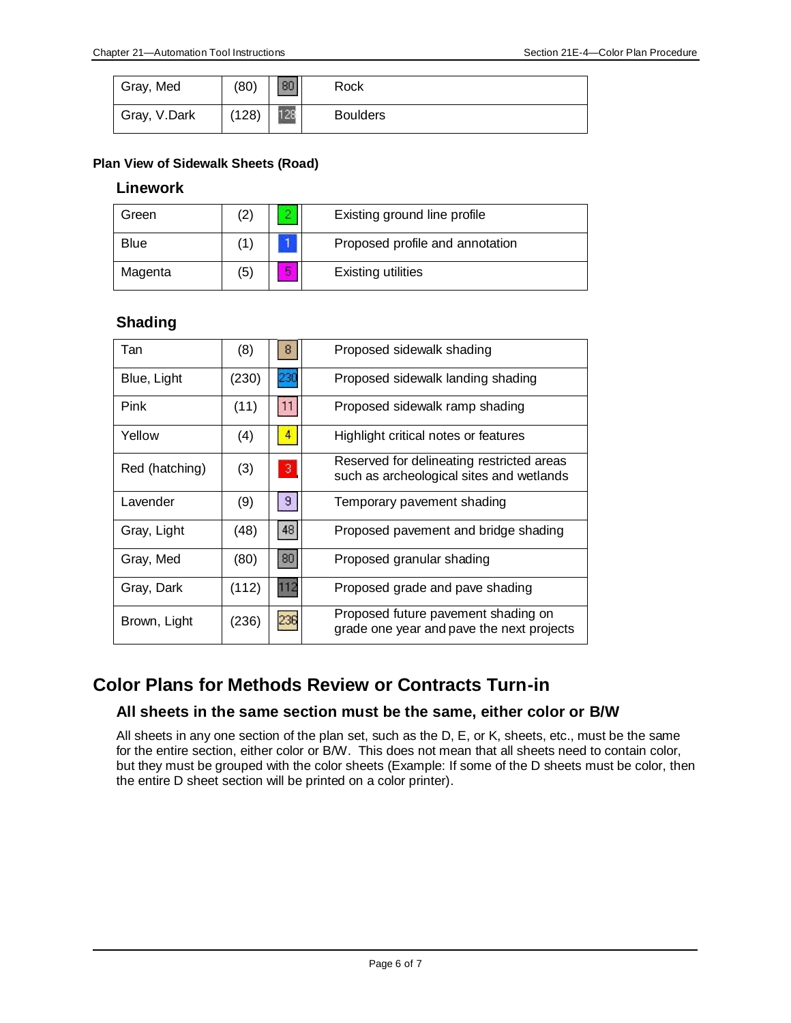| Gray, Med    | (80)  | 80  | Rock            |
|--------------|-------|-----|-----------------|
| Gray, V.Dark | (128) | 128 | <b>Boulders</b> |

#### **Plan View of Sidewalk Sheets (Road)**

#### **Linework**

| Green       | $\left( 2\right)$ |    | Existing ground line profile    |
|-------------|-------------------|----|---------------------------------|
| <b>Blue</b> | (1                |    | Proposed profile and annotation |
| Magenta     | (5)               | п, | <b>Existing utilities</b>       |

#### **Shading**

| Tan            | (8)   | 8              | Proposed sidewalk shading                                                             |
|----------------|-------|----------------|---------------------------------------------------------------------------------------|
| Blue, Light    | (230) | 230            | Proposed sidewalk landing shading                                                     |
| Pink           | (11)  | 11             | Proposed sidewalk ramp shading                                                        |
| Yellow         | (4)   | 4              | Highlight critical notes or features                                                  |
| Red (hatching) | (3)   | 3              | Reserved for delineating restricted areas<br>such as archeological sites and wetlands |
| Lavender       | (9)   | $\overline{9}$ | Temporary pavement shading                                                            |
| Gray, Light    | (48)  | 48             | Proposed pavement and bridge shading                                                  |
| Gray, Med      | (80)  | 80             | Proposed granular shading                                                             |
| Gray, Dark     | (112) | 112            | Proposed grade and pave shading                                                       |
| Brown, Light   | (236) | 236            | Proposed future pavement shading on<br>grade one year and pave the next projects      |

# **Color Plans for Methods Review or Contracts Turn-in**

#### **All sheets in the same section must be the same, either color or B/W**

All sheets in any one section of the plan set, such as the D, E, or K, sheets, etc., must be the same for the entire section, either color or B/W. This does not mean that all sheets need to contain color, but they must be grouped with the color sheets (Example: If some of the D sheets must be color, then the entire D sheet section will be printed on a color printer).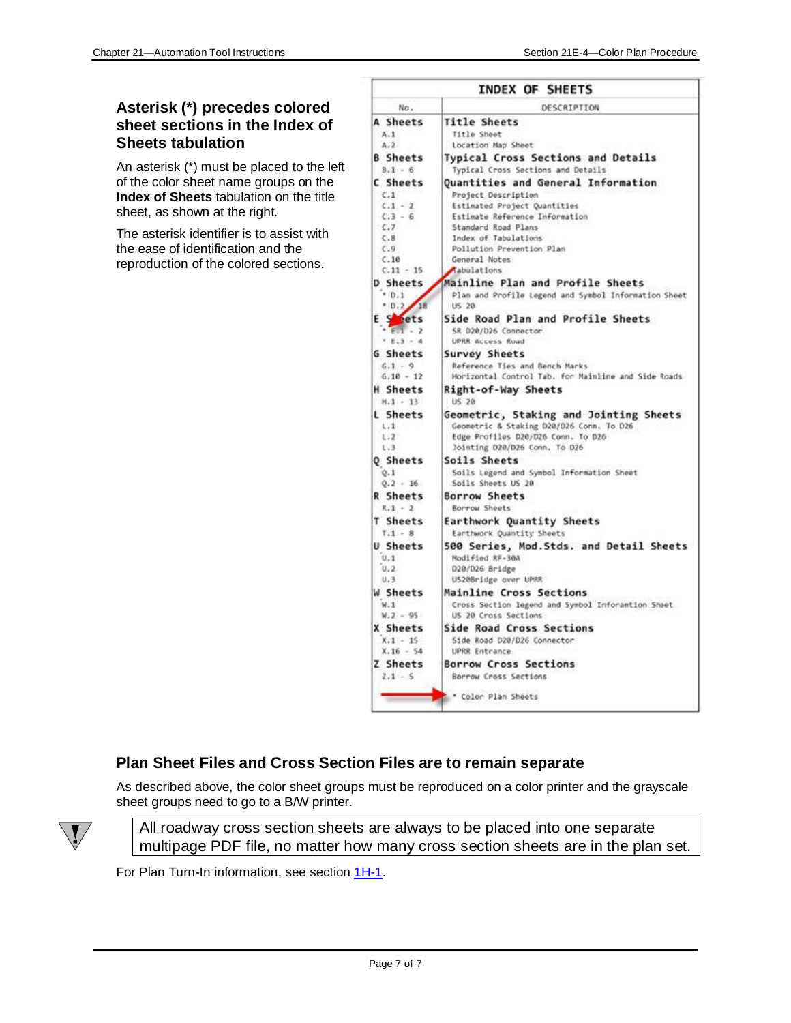#### **Asterisk (\*) precedes colored sheet sections in the Index of Sheets tabulation**

An asterisk (\*) must be placed to the left of the color sheet name groups on the **Index of Sheets** tabulation on the title sheet, as shown at the right.

The asterisk identifier is to assist with the ease of identification and the reproduction of the colored sections.

| INDEX OF SHEETS      |                                                                                |  |
|----------------------|--------------------------------------------------------------------------------|--|
| No.                  | DESCRIPTION                                                                    |  |
| A Sheets             | <b>Title Sheets</b>                                                            |  |
| A.1                  | Title Sheet                                                                    |  |
| A.2                  | Location Map Sheet                                                             |  |
| <b>B</b> Sheets      | Typical Cross Sections and Details                                             |  |
| $B.1 - 6$            | Typical Cross Sections and Details                                             |  |
| C Sheets             | <b>Quantities and General Information</b>                                      |  |
| C.1                  | Project Description                                                            |  |
| $C.1 - 2$            | Estimated Project Quantities                                                   |  |
| $C.3 - 6$            | Estimate Reference Information                                                 |  |
| C,7                  | Standard Road Plans                                                            |  |
| C.8                  | Index of Tabulations                                                           |  |
| C.9<br>C.10          | Pollution Prevention Plan<br>General Notes                                     |  |
| $C.11 - 15$          | <b>Abulations</b>                                                              |  |
| D Sheets             | Mainline Plan and Profile Sheets                                               |  |
| .0.1                 | Plan and Profile Legend and Symbol Information Sheet                           |  |
| .0.2<br>18           | US 20                                                                          |  |
| E Seets              |                                                                                |  |
| $E_{11}$ - 2         | Side Road Plan and Profile Sheets                                              |  |
| $-5.3 - 4$           | SR D20/D26 Connector<br>UPRR Access Road                                       |  |
| <b>G</b> Sheets      |                                                                                |  |
| $6.1 - 9$            | <b>Survey Sheets</b><br>Reference Ties and Bench Marks                         |  |
| $6.10 - 12$          | Horizontal Control Tab. for Mainline and Side Roads                            |  |
| <b>H</b> Sheets      |                                                                                |  |
| $H.1 - 13$           | <b>Right-of-Way Sheets</b><br>US 20                                            |  |
|                      |                                                                                |  |
| L Sheets             | Geometric, Staking and Jointing Sheets                                         |  |
| 1.1<br>$1.2^{\circ}$ | Geometric & Staking D20/D26 Conn. To D26<br>Edge Profiles D20/D26 Conn. To D26 |  |
| 1.3                  | Jointing D20/D26 Conn. To D26                                                  |  |
|                      | Soils Sheets                                                                   |  |
| Q Sheets<br>0.1      | Soils Legend and Symbol Information Sheet                                      |  |
| $0.2 - 16$           | Soils Sheets US 20                                                             |  |
| <b>R</b> Sheets      | <b>Borrow Sheets</b>                                                           |  |
| $R.1 - 2$            | Borrow Sheets                                                                  |  |
| T Sheets             | Earthwork Quantity Sheets                                                      |  |
| $T.1 - 8$            | Earthwork Quantity Sheets                                                      |  |
| U Sheets             |                                                                                |  |
| 0.1                  | 500 Series, Mod.Stds. and Detail Sheets<br>Modified RF-30A                     |  |
| U.2                  | D20/D26 Bridge                                                                 |  |
| U.3                  | US20Bridge over UPRR                                                           |  |
| W Sheets             | Mainline Cross Sections                                                        |  |
| W.1                  | Cross Section legend and Symbol Inforamtion Sheet                              |  |
| $W.2 - 95$           | US 20 Cross Sections                                                           |  |
| X Sheets             | <b>Side Road Cross Sections</b>                                                |  |
| $X.1 - 15$           | Side Road D20/D26 Connector                                                    |  |
| $X.16 - 54$          | <b>UPRR Entrance</b>                                                           |  |
| Z Sheets             | <b>Borrow Cross Sections</b>                                                   |  |
| $7.1 - 5$            | <b>Borrow Cross Sections</b>                                                   |  |
|                      |                                                                                |  |
|                      | Color Plan Sheets                                                              |  |
|                      |                                                                                |  |

#### **Plan Sheet Files and Cross Section Files are to remain separate**

As described above, the color sheet groups must be reproduced on a color printer and the grayscale sheet groups need to go to a B/W printer.



All roadway cross section sheets are always to be placed into one separate multipage PDF file, no matter how many cross section sheets are in the plan set.

For Plan Turn-In information, see section [1H-1.](01h-01.pdf)